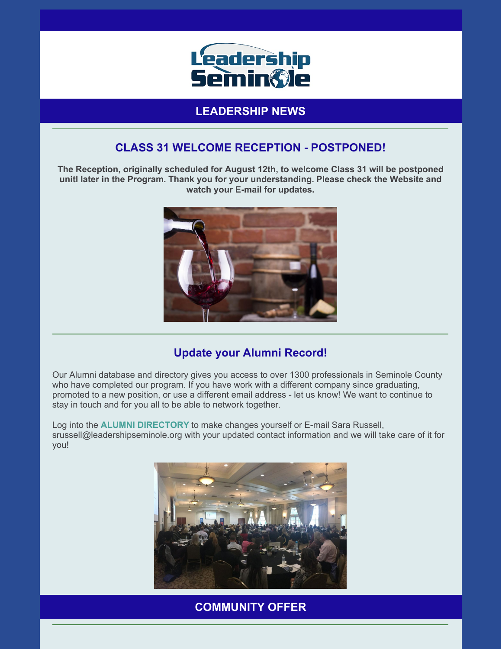

# **LEADERSHIP NEWS**

# **CLASS 31 WELCOME RECEPTION - POSTPONED!**

**The Reception, originally scheduled for August 12th, to welcome Class 31 will be postponed unitl later in the Program. Thank you for your understanding. Please check the Website and watch your E-mail for updates.**



## **Update your Alumni Record!**

Our Alumni database and directory gives you access to over 1300 professionals in Seminole County who have completed our program. If you have work with a different company since graduating, promoted to a new position, or use a different email address - let us know! We want to continue to stay in touch and for you all to be able to network together.

Log into the **ALUMNI [DIRECTORY](https://leadershipseminole.org/seminole-region/alumni-directory/)** to make changes yourself or E-mail Sara Russell, srussell@leadershipseminole.org with your updated contact information and we will take care of it for you!



**COMMUNITY OFFER**